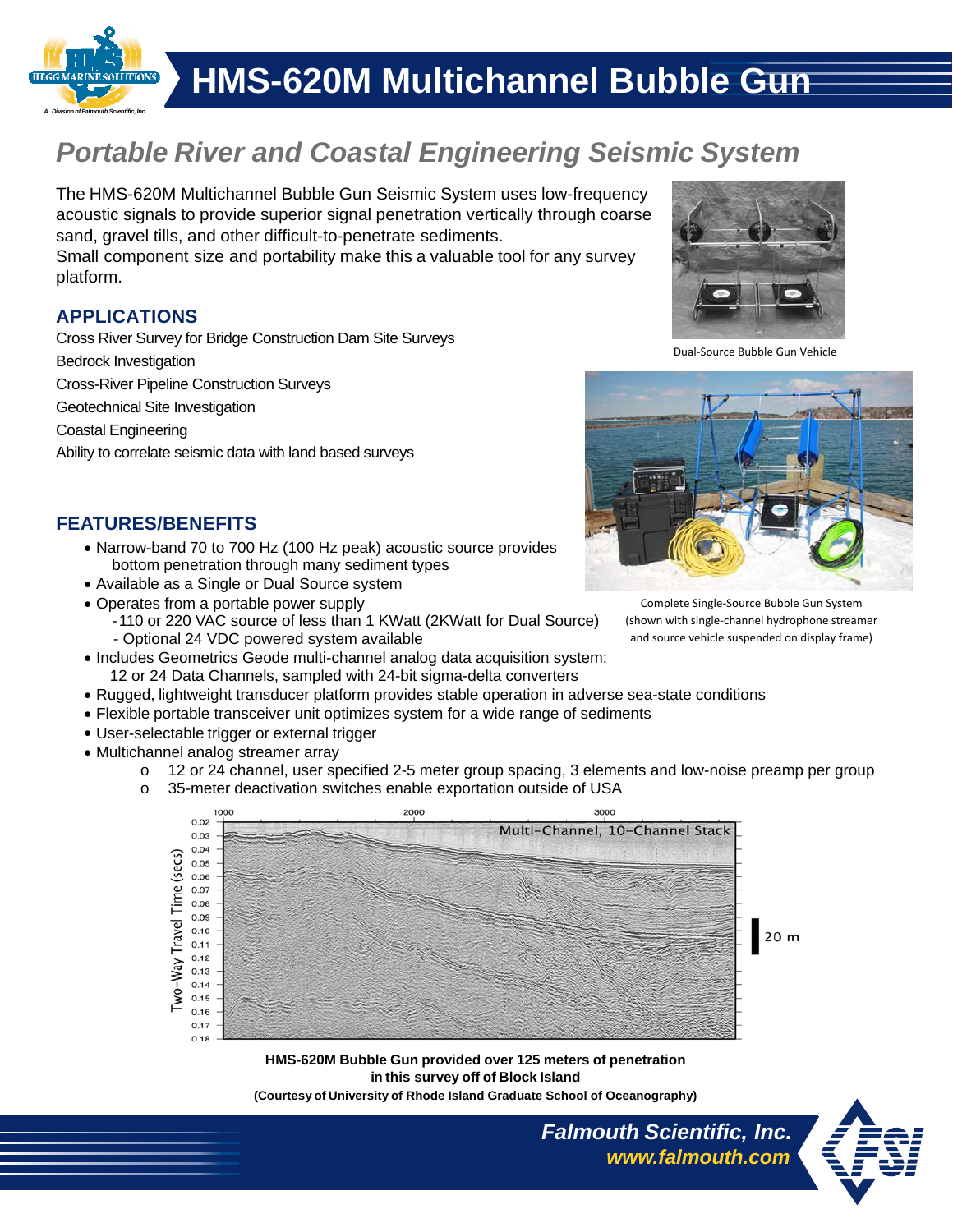

# *Portable River and Coastal Engineering Seismic System*

The HMS-620M Multichannel Bubble Gun Seismic System uses low-frequency acoustic signals to provide superior signal penetration vertically through coarse sand, gravel tills, and other difficult-to-penetrate sediments.

Small component size and portability make this a valuable tool for any survey platform.

#### **APPLICATIONS**

Cross River Survey for Bridge Construction Dam Site Surveys

Bedrock Investigation

Cross-River Pipeline Construction Surveys

Geotechnical Site Investigation

Coastal Engineering

Ability to correlate seismic data with land based surveys



Dual‐Source Bubble Gun Vehicle



**FEATURES/BENEFITS**

- Narrow-band 70 to 700 Hz (100 Hz peak) acoustic source provides bottom penetration through many sediment types
- Available as a Single or Dual Source system
- Operates from a portable power supply
	- 110 or 220 VAC source of less than 1 KWatt (2KWatt for Dual Source) - Optional 24 VDC powered system available
- Includes Geometrics Geode multi-channel analog data acquisition system:
- 12 or 24 Data Channels, sampled with 24-bit sigma-delta converters
- Rugged, lightweight transducer platform provides stable operation in adverse sea-state conditions
- Flexible portable transceiver unit optimizes system for a wide range of sediments
- User-selectable trigger or external trigger
- Multichannel analog streamer array
	- o 12 or 24 channel, user specified 2-5 meter group spacing, 3 elements and low-noise preamp per group
	- o 35-meter deactivation switches enable exportation outside of USA



20 m

*Falmouth Scientific, Inc.*

*www.falmouth.com*

**HMS-620M Bubble Gun provided over 125 meters of penetration in this survey off of Block Island** 

**(Courtesy of University of Rhode Island Graduate School of Oceanography)** 



(shown with single‐channel hydrophone streamer and source vehicle suspended on display frame)